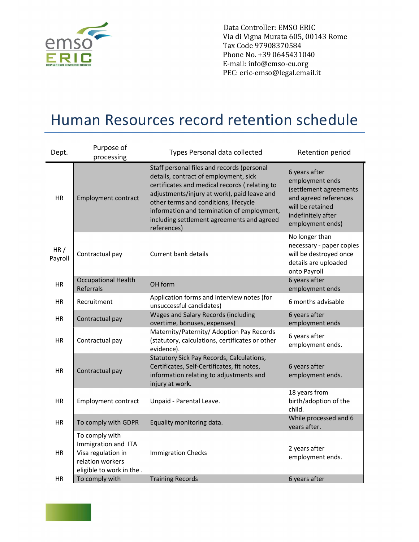

 Data Controller: EMSO ERIC Via di Vigna Murata 605, 00143 Rome Tax Code 97908370584 Phone No. +39 0645431040 E-mail: info@emso-eu.org PEC: eric-emso@legal.email.it

## Human Resources record retention schedule

| Dept.                  | Purpose of<br>processing                                                                                                      | Types Personal data collected                                                                                                                                                                                                                                                                                                           | Retention period                                                                                                                                  |
|------------------------|-------------------------------------------------------------------------------------------------------------------------------|-----------------------------------------------------------------------------------------------------------------------------------------------------------------------------------------------------------------------------------------------------------------------------------------------------------------------------------------|---------------------------------------------------------------------------------------------------------------------------------------------------|
| <b>HR</b>              | <b>Employment contract</b>                                                                                                    | Staff personal files and records (personal<br>details, contract of employment, sick<br>certificates and medical records (relating to<br>adjustments/injury at work), paid leave and<br>other terms and conditions, lifecycle<br>information and termination of employment,<br>including settlement agreements and agreed<br>references) | 6 years after<br>employment ends<br>(settlement agreements<br>and agreed references<br>will be retained<br>indefinitely after<br>employment ends) |
| HR/<br>Payroll         | Contractual pay                                                                                                               | Current bank details                                                                                                                                                                                                                                                                                                                    | No longer than<br>necessary - paper copies<br>will be destroyed once<br>details are uploaded<br>onto Payroll                                      |
| <b>HR</b>              | <b>Occupational Health</b><br>Referrals                                                                                       | OH form                                                                                                                                                                                                                                                                                                                                 | 6 years after<br>employment ends                                                                                                                  |
| <b>HR</b>              | Recruitment                                                                                                                   | Application forms and interview notes (for<br>unsuccessful candidates)                                                                                                                                                                                                                                                                  | 6 months advisable                                                                                                                                |
| HR                     | Contractual pay                                                                                                               | Wages and Salary Records (including<br>overtime, bonuses, expenses)                                                                                                                                                                                                                                                                     | 6 years after<br>employment ends                                                                                                                  |
| HR                     | Contractual pay                                                                                                               | Maternity/Paternity/ Adoption Pay Records<br>(statutory, calculations, certificates or other<br>evidence).                                                                                                                                                                                                                              | 6 years after<br>employment ends.                                                                                                                 |
| <b>HR</b>              | Contractual pay                                                                                                               | Statutory Sick Pay Records, Calculations,<br>Certificates, Self-Certificates, fit notes,<br>information relating to adjustments and<br>injury at work.                                                                                                                                                                                  | 6 years after<br>employment ends.                                                                                                                 |
| <b>HR</b>              | <b>Employment contract</b>                                                                                                    | Unpaid - Parental Leave.                                                                                                                                                                                                                                                                                                                | 18 years from<br>birth/adoption of the<br>child.                                                                                                  |
| <b>HR</b>              | To comply with GDPR                                                                                                           | Equality monitoring data.                                                                                                                                                                                                                                                                                                               | While processed and 6<br>years after.                                                                                                             |
| <b>HR</b><br><b>HR</b> | To comply with<br>Immigration and ITA<br>Visa regulation in<br>relation workers<br>eligible to work in the.<br>To comply with | <b>Immigration Checks</b><br><b>Training Records</b>                                                                                                                                                                                                                                                                                    | 2 years after<br>employment ends.<br>6 years after                                                                                                |
|                        |                                                                                                                               |                                                                                                                                                                                                                                                                                                                                         |                                                                                                                                                   |